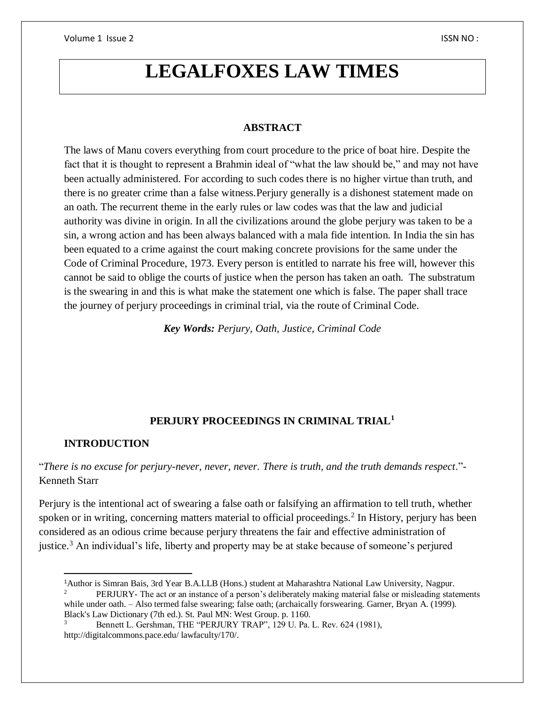# **LEGALFOXES LAW TIMES**

#### **ABSTRACT**

The laws of Manu covers everything from court procedure to the price of boat hire. Despite the fact that it is thought to represent a Brahmin ideal of "what the law should be," and may not have been actually administered. For according to such codes there is no higher virtue than truth, and there is no greater crime than a false witness.Perjury generally is a dishonest statement made on an oath. The recurrent theme in the early rules or law codes was that the law and judicial authority was divine in origin. In all the civilizations around the globe perjury was taken to be a sin, a wrong action and has been always balanced with a mala fide intention. In India the sin has been equated to a crime against the court making concrete provisions for the same under the Code of Criminal Procedure, 1973. Every person is entitled to narrate his free will, however this cannot be said to oblige the courts of justice when the person has taken an oath. The substratum is the swearing in and this is what make the statement one which is false. The paper shall trace the journey of perjury proceedings in criminal trial, via the route of Criminal Code.

*Key Words: Perjury, Oath, Justice, Criminal Code*

## **PERJURY PROCEEDINGS IN CRIMINAL TRIAL<sup>1</sup>**

#### **INTRODUCTION**

 $\overline{\phantom{a}}$ 

"*There is no excuse for perjury-never, never, never. There is truth, and the truth demands respect*."- Kenneth Starr

Perjury is the intentional act of swearing a false oath or falsifying an affirmation to tell truth, whether spoken or in writing, concerning matters material to official proceedings.<sup>2</sup> In History, perjury has been considered as an odious crime because perjury threatens the fair and effective administration of justice.<sup>3</sup> An individual's life, liberty and property may be at stake because of someone's perjured

<sup>&</sup>lt;sup>1</sup>Author is Simran Bais, 3rd Year B.A.LLB (Hons.) student at Maharashtra National Law University, Nagpur.<br><sup>2</sup> DEP H IP V. The ext or an instance of a person's deliberately making material false or mislanding state

<sup>2</sup> PERJURY- The act or an instance of a person's deliberately making material false or misleading statements while under oath. – Also termed false swearing; false oath; (archaically forswearing. Garner, Bryan A. (1999). Black's Law Dictionary (7th ed.). St. Paul MN: West Group. p. 1160.

<sup>&</sup>lt;sup>3</sup> Bennett L. Gershman, THE "PERJURY TRAP", 129 U. Pa. L. Rev. 624 (1981), http://digitalcommons.pace.edu/ lawfaculty/170/.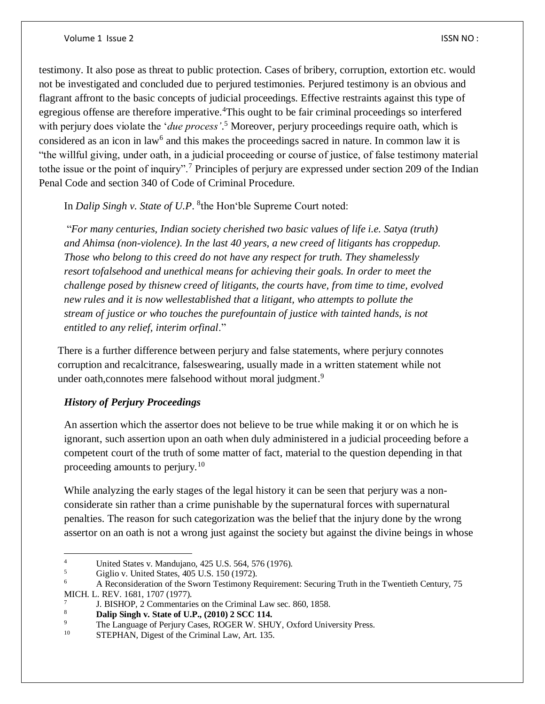testimony. It also pose as threat to public protection. Cases of bribery, corruption, extortion etc. would not be investigated and concluded due to perjured testimonies. Perjured testimony is an obvious and flagrant affront to the basic concepts of judicial proceedings. Effective restraints against this type of egregious offense are therefore imperative.<sup>4</sup>This ought to be fair criminal proceedings so interfered with perjury does violate the '*due process'*. <sup>5</sup> Moreover, perjury proceedings require oath, which is considered as an icon in law<sup>6</sup> and this makes the proceedings sacred in nature. In common law it is "the willful giving, under oath, in a judicial proceeding or course of justice, of false testimony material tothe issue or the point of inquiry".<sup>7</sup> Principles of perjury are expressed under section 209 of the Indian Penal Code and section 340 of Code of Criminal Procedure.

In *Dalip Singh v. State of U.P.* <sup>8</sup> the Hon 'ble Supreme Court noted:

"*For many centuries, Indian society cherished two basic values of life i.e. Satya (truth) and Ahimsa (non-violence). In the last 40 years, a new creed of litigants has croppedup. Those who belong to this creed do not have any respect for truth. They shamelessly resort tofalsehood and unethical means for achieving their goals. In order to meet the challenge posed by thisnew creed of litigants, the courts have, from time to time, evolved new rules and it is now wellestablished that a litigant, who attempts to pollute the stream of justice or who touches the purefountain of justice with tainted hands, is not entitled to any relief, interim orfinal*."

There is a further difference between perjury and false statements, where perjury connotes corruption and recalcitrance, falseswearing, usually made in a written statement while not under oath, connotes mere falsehood without moral judgment.<sup>9</sup>

#### *History of Perjury Proceedings*

An assertion which the assertor does not believe to be true while making it or on which he is ignorant, such assertion upon an oath when duly administered in a judicial proceeding before a competent court of the truth of some matter of fact, material to the question depending in that proceeding amounts to perjury.<sup>10</sup>

While analyzing the early stages of the legal history it can be seen that perjury was a nonconsiderate sin rather than a crime punishable by the supernatural forces with supernatural penalties. The reason for such categorization was the belief that the injury done by the wrong assertor on an oath is not a wrong just against the society but against the divine beings in whose

 $\overline{4}$ 4 United States v. Mandujano, 425 U.S. 564, 576 (1976).<br> $\frac{5}{100}$  Giglio v. United States 405 U.S. 150 (1972).

 $^{5}$  Giglio v. United States, 405 U.S. 150 (1972).<br>
A Reconsideration of the Sworn Testimony R

<sup>6</sup> A Reconsideration of the Sworn Testimony Requirement: Securing Truth in the Twentieth Century, 75

MICH. L. REV. 1681, 1707 (1977).

<sup>7</sup> J. BISHOP, 2 Commentaries on the Criminal Law sec. 860, 1858.

<sup>8</sup> **Dalip Singh v. State of U.P., (2010) 2 SCC 114.**

<sup>&</sup>lt;sup>9</sup> The Language of Perjury Cases, ROGER W. SHUY, Oxford University Press.<br><sup>10</sup> STEDHAN Digest of the Criminal Law,  $\Delta$ rt, 135

STEPHAN, Digest of the Criminal Law, Art. 135.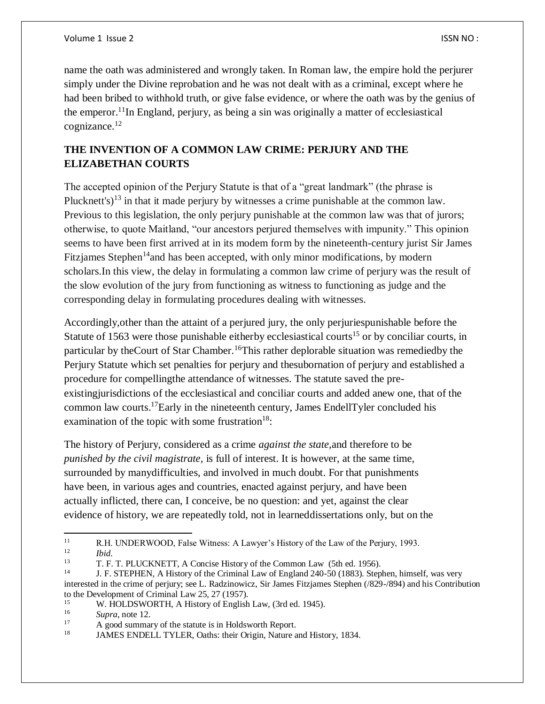name the oath was administered and wrongly taken. In Roman law, the empire hold the perjurer simply under the Divine reprobation and he was not dealt with as a criminal, except where he had been bribed to withhold truth, or give false evidence, or where the oath was by the genius of the emperor.<sup>11</sup>In England, perjury, as being a sin was originally a matter of ecclesiastical cognizance.<sup>12</sup>

## **THE INVENTION OF A COMMON LAW CRIME: PERJURY AND THE ELIZABETHAN COURTS**

The accepted opinion of the Perjury Statute is that of a "great landmark" (the phrase is Plucknett's)<sup>13</sup> in that it made perjury by witnesses a crime punishable at the common law. Previous to this legislation, the only perjury punishable at the common law was that of jurors; otherwise, to quote Maitland, "our ancestors perjured themselves with impunity." This opinion seems to have been first arrived at in its modem form by the nineteenth-century jurist Sir James Fitzjames Stephen<sup>14</sup> and has been accepted, with only minor modifications, by modern scholars.In this view, the delay in formulating a common law crime of perjury was the result of the slow evolution of the jury from functioning as witness to functioning as judge and the corresponding delay in formulating procedures dealing with witnesses.

Accordingly,other than the attaint of a perjured jury, the only perjuriespunishable before the Statute of 1563 were those punishable eitherby ecclesiastical courts<sup>15</sup> or by conciliar courts, in particular by the Court of Star Chamber.<sup>16</sup>This rather deplorable situation was remediedby the Perjury Statute which set penalties for perjury and thesubornation of perjury and established a procedure for compellingthe attendance of witnesses. The statute saved the preexistingjurisdictions of the ecclesiastical and conciliar courts and added anew one, that of the common law courts. <sup>17</sup>Early in the nineteenth century, James EndellTyler concluded his examination of the topic with some frustration<sup>18</sup>:

The history of Perjury, considered as a crime *against the state,*and therefore to be *punished by the civil magistrate,* is full of interest. It is however, at the same time, surrounded by manydifficulties, and involved in much doubt. For that punishments have been, in various ages and countries, enacted against perjury, and have been actually inflicted, there can, I conceive, be no question: and yet, against the clear evidence of history, we are repeatedly told, not in learneddissertations only, but on the

 $\frac{12}{13}$  *Ibid.* 

 $11$ <sup>11</sup> R.H. UNDERWOOD, False Witness: A Lawyer's History of the Law of the Perjury, 1993.<br> $12$ 

<sup>13</sup> T. F. T. PLUCKNETT, A Concise History of the Common Law (5th ed. 1956).

<sup>14</sup> J. F. STEPHEN, A History of the Criminal Law of England 240-50 (1883). Stephen, himself, was very interested in the crime of perjury; see L. Radzinowicz, Sir James Fitzjames Stephen (/829-/894) and his Contribution to the Development of Criminal Law 25, 27 (1957).

<sup>&</sup>lt;sup>15</sup> W. HOLDSWORTH, A History of English Law, (3rd ed. 1945).

 $\frac{16}{17}$  *Supra*, note 12.

<sup>&</sup>lt;sup>17</sup> A good summary of the statute is in Holdsworth Report.<br><sup>18</sup> LAMES ENDELL TVLER Onthe: their Origin Nature a

<sup>18</sup> JAMES ENDELL TYLER, Oaths: their Origin, Nature and History, 1834.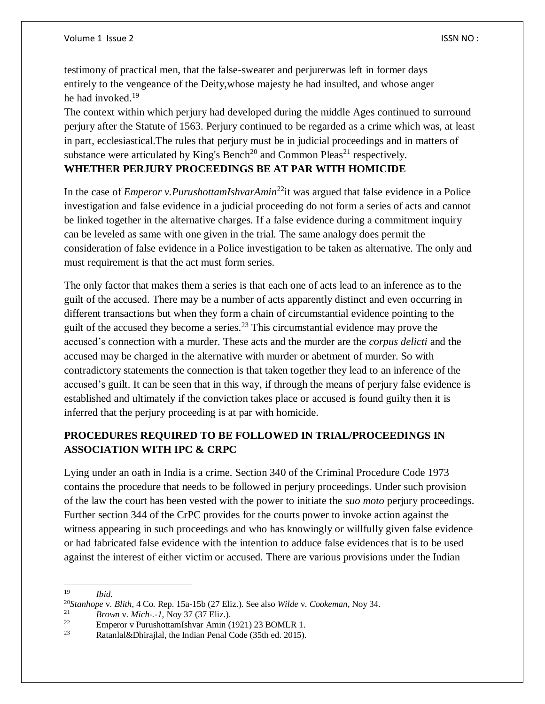testimony of practical men, that the false-swearer and perjurerwas left in former days entirely to the vengeance of the Deity,whose majesty he had insulted, and whose anger he had invoked.<sup>19</sup>

The context within which perjury had developed during the middle Ages continued to surround perjury after the Statute of 1563. Perjury continued to be regarded as a crime which was, at least in part, ecclesiastical.The rules that perjury must be in judicial proceedings and in matters of substance were articulated by King's Bench<sup>20</sup> and Common Pleas<sup>21</sup> respectively. **WHETHER PERJURY PROCEEDINGS BE AT PAR WITH HOMICIDE**

In the case of *Emperor v.PurushottamIshvarAmin*<sup>22</sup>it was argued that false evidence in a Police investigation and false evidence in a judicial proceeding do not form a series of acts and cannot be linked together in the alternative charges. If a false evidence during a commitment inquiry can be leveled as same with one given in the trial. The same analogy does permit the consideration of false evidence in a Police investigation to be taken as alternative. The only and must requirement is that the act must form series.

The only factor that makes them a series is that each one of acts lead to an inference as to the guilt of the accused. There may be a number of acts apparently distinct and even occurring in different transactions but when they form a chain of circumstantial evidence pointing to the guilt of the accused they become a series.<sup>23</sup> This circumstantial evidence may prove the accused's connection with a murder. These acts and the murder are the *corpus delicti* and the accused may be charged in the alternative with murder or abetment of murder. So with contradictory statements the connection is that taken together they lead to an inference of the accused's guilt. It can be seen that in this way, if through the means of perjury false evidence is established and ultimately if the conviction takes place or accused is found guilty then it is inferred that the perjury proceeding is at par with homicide.

# **PROCEDURES REQUIRED TO BE FOLLOWED IN TRIAL/PROCEEDINGS IN ASSOCIATION WITH IPC & CRPC**

Lying under an oath in India is a crime. Section 340 of the Criminal Procedure Code 1973 contains the procedure that needs to be followed in perjury proceedings. Under such provision of the law the court has been vested with the power to initiate the *suo moto* perjury proceedings. Further section 344 of the CrPC provides for the courts power to invoke action against the witness appearing in such proceedings and who has knowingly or willfully given false evidence or had fabricated false evidence with the intention to adduce false evidences that is to be used against the interest of either victim or accused. There are various provisions under the Indian

 $\overline{\phantom{a}}$ <sup>19</sup> *Ibid.*

<sup>20</sup>*Stanhope* v. *Blith,* 4 Co. Rep. 15a-15b (27 Eliz.). See also *Wilde* v. *Cookeman,* Noy 34.

<sup>21</sup> *Brown* v. *Mich-.-1,* Noy 37 (37 Eliz.).

<sup>&</sup>lt;sup>22</sup> Emperor v PurushottamIshvar Amin (1921) 23 BOMLR 1.<br><sup>23</sup> Patenlal & Dhirailal, the Indian Banal Code (25th ed. 2015).

Ratanlal&Dhirajlal, the Indian Penal Code (35th ed. 2015).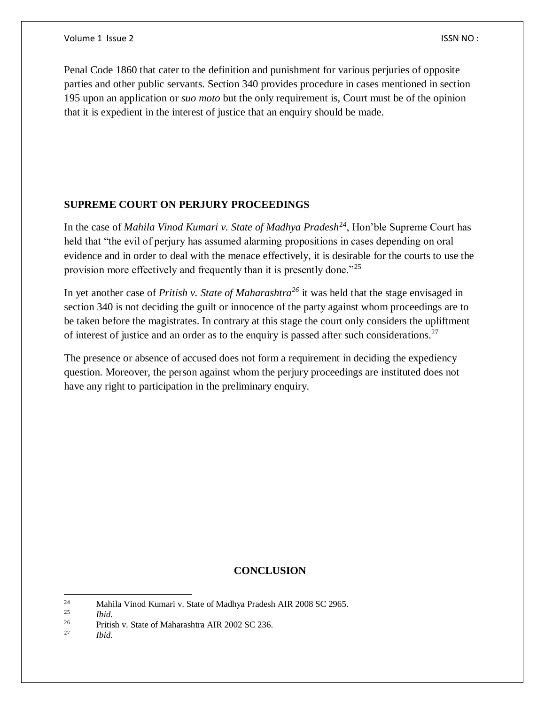Penal Code 1860 that cater to the definition and punishment for various perjuries of opposite parties and other public servants. Section 340 provides procedure in cases mentioned in section 195 upon an application or *suo moto* but the only requirement is, Court must be of the opinion that it is expedient in the interest of justice that an enquiry should be made.

#### **SUPREME COURT ON PERJURY PROCEEDINGS**

In the case of *Mahila Vinod Kumari v. State of Madhya Pradesh*<sup>24</sup>, Hon'ble Supreme Court has held that "the evil of perjury has assumed alarming propositions in cases depending on oral evidence and in order to deal with the menace effectively, it is desirable for the courts to use the provision more effectively and frequently than it is presently done."<sup>25</sup>

In yet another case of *Pritish v. State of Maharashtra<sup>26</sup>* it was held that the stage envisaged in section 340 is not deciding the guilt or innocence of the party against whom proceedings are to be taken before the magistrates. In contrary at this stage the court only considers the upliftment of interest of justice and an order as to the enquiry is passed after such considerations.<sup>27</sup>

The presence or absence of accused does not form a requirement in deciding the expediency question. Moreover, the person against whom the perjury proceedings are instituted does not have any right to participation in the preliminary enquiry.

## **CONCLUSION**

<sup>27</sup> *Ibid.*

 $24$ <sup>24</sup> Mahila Vinod Kumari v. State of Madhya Pradesh AIR 2008 SC 2965.

<sup>25</sup> *Ibid.*

<sup>&</sup>lt;sup>26</sup> Pritish v. State of Maharashtra AIR 2002 SC 236.